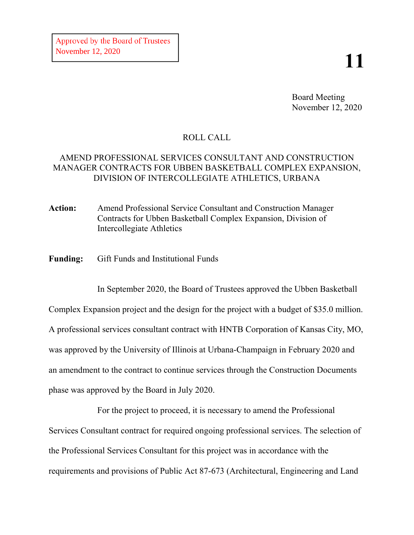## **11**

Board Meeting November 12, 2020

## ROLL CALL

## AMEND PROFESSIONAL SERVICES CONSULTANT AND CONSTRUCTION MANAGER CONTRACTS FOR UBBEN BASKETBALL COMPLEX EXPANSION, DIVISION OF INTERCOLLEGIATE ATHLETICS, URBANA

**Action:** Amend Professional Service Consultant and Construction Manager Contracts for Ubben Basketball Complex Expansion, Division of Intercollegiate Athletics

**Funding:** Gift Funds and Institutional Funds

In September 2020, the Board of Trustees approved the Ubben Basketball Complex Expansion project and the design for the project with a budget of \$35.0 million. A professional services consultant contract with HNTB Corporation of Kansas City, MO, was approved by the University of Illinois at Urbana-Champaign in February 2020 and an amendment to the contract to continue services through the Construction Documents phase was approved by the Board in July 2020.

For the project to proceed, it is necessary to amend the Professional Services Consultant contract for required ongoing professional services. The selection of the Professional Services Consultant for this project was in accordance with the requirements and provisions of Public Act 87-673 (Architectural, Engineering and Land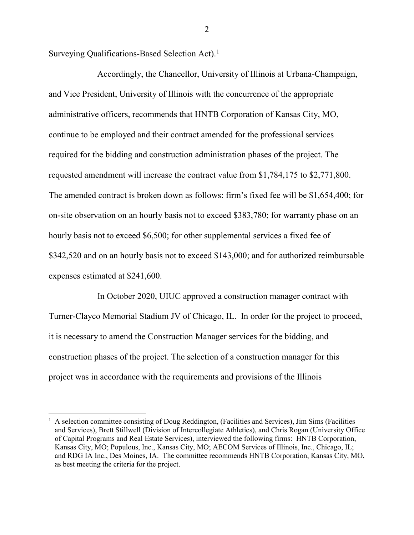Surveying Qualifications-Based Selection Act). [1](#page-1-0)

Accordingly, the Chancellor, University of Illinois at Urbana-Champaign, and Vice President, University of Illinois with the concurrence of the appropriate administrative officers, recommends that HNTB Corporation of Kansas City, MO, continue to be employed and their contract amended for the professional services required for the bidding and construction administration phases of the project. The requested amendment will increase the contract value from \$1,784,175 to \$2,771,800. The amended contract is broken down as follows: firm's fixed fee will be \$1,654,400; for on-site observation on an hourly basis not to exceed \$383,780; for warranty phase on an hourly basis not to exceed \$6,500; for other supplemental services a fixed fee of \$342,520 and on an hourly basis not to exceed \$143,000; and for authorized reimbursable expenses estimated at \$241,600.

In October 2020, UIUC approved a construction manager contract with Turner-Clayco Memorial Stadium JV of Chicago, IL. In order for the project to proceed, it is necessary to amend the Construction Manager services for the bidding, and construction phases of the project. The selection of a construction manager for this project was in accordance with the requirements and provisions of the Illinois

2

<span id="page-1-0"></span> <sup>1</sup> A selection committee consisting of Doug Reddington, (Facilities and Services), Jim Sims (Facilities and Services), Brett Stillwell (Division of Intercollegiate Athletics), and Chris Rogan (University Office of Capital Programs and Real Estate Services), interviewed the following firms: HNTB Corporation, Kansas City, MO; Populous, Inc., Kansas City, MO; AECOM Services of Illinois, Inc., Chicago, IL; and RDG IA Inc., Des Moines, IA. The committee recommends HNTB Corporation, Kansas City, MO, as best meeting the criteria for the project.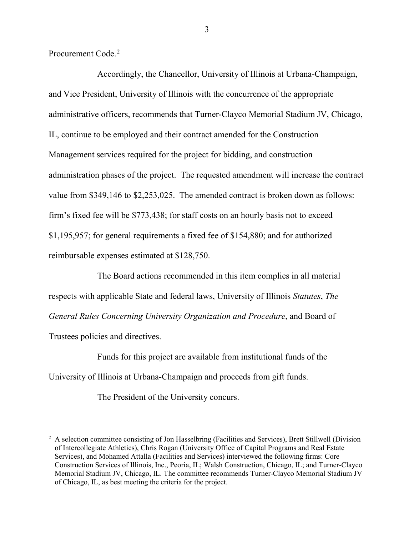Procurement Code.<sup>[2](#page-2-0)</sup>

Accordingly, the Chancellor, University of Illinois at Urbana-Champaign, and Vice President, University of Illinois with the concurrence of the appropriate administrative officers, recommends that Turner-Clayco Memorial Stadium JV, Chicago, IL, continue to be employed and their contract amended for the Construction Management services required for the project for bidding, and construction administration phases of the project. The requested amendment will increase the contract value from \$349,146 to \$2,253,025. The amended contract is broken down as follows: firm's fixed fee will be \$773,438; for staff costs on an hourly basis not to exceed \$1,195,957; for general requirements a fixed fee of \$154,880; and for authorized reimbursable expenses estimated at \$128,750.

The Board actions recommended in this item complies in all material respects with applicable State and federal laws, University of Illinois *Statutes*, *The General Rules Concerning University Organization and Procedure*, and Board of Trustees policies and directives.

Funds for this project are available from institutional funds of the University of Illinois at Urbana-Champaign and proceeds from gift funds.

The President of the University concurs.

<span id="page-2-0"></span><sup>&</sup>lt;sup>2</sup> A selection committee consisting of Jon Hasselbring (Facilities and Services), Brett Stillwell (Division of Intercollegiate Athletics), Chris Rogan (University Office of Capital Programs and Real Estate Services), and Mohamed Attalla (Facilities and Services) interviewed the following firms: Core Construction Services of Illinois, Inc., Peoria, IL; Walsh Construction, Chicago, IL; and Turner-Clayco Memorial Stadium JV, Chicago, IL. The committee recommends Turner-Clayco Memorial Stadium JV of Chicago, IL, as best meeting the criteria for the project.